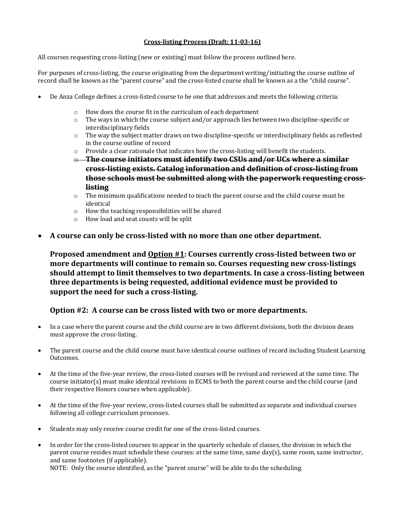## **Cross-listing Process (Draft: 11-03-16)**

All courses requesting cross-listing (new or existing) must follow the process outlined here.

For purposes of cross-listing, the course originating from the department writing/initiating the course outline of record shall be known as the "parent course" and the cross-listed course shall be known as a the "child course".

- De Anza College defines a cross-listed course to be one that addresses and meets the following criteria:
	- o How does the course fit in the curriculum of each department
	- o The ways in which the course subject and/or approach lies between two discipline-specific or interdisciplinary fields
	- o The way the subject matter draws on two discipline-specific or interdisciplinary fields as reflected in the course outline of record
	- $\circ$  Provide a clear rationale that indicates how the cross-listing will benefit the students.
	- o **The course initiators must identify two CSUs and/or UCs where a similar cross-listing exists. Catalog information and definition of cross-listing from those schools must be submitted along with the paperwork requesting crosslisting**
	- $\circ$  The minimum qualifications needed to teach the parent course and the child course must be identical
	- o How the teaching responsibilities will be shared
	- o How load and seat counts will be split
- **A course can only be cross-listed with no more than one other department.**

**Proposed amendment and Option #1: Courses currently cross-listed between two or more departments will continue to remain so. Courses requesting new cross-listings should attempt to limit themselves to two departments. In case a cross-listing between three departments is being requested, additional evidence must be provided to support the need for such a cross-listing.** 

## **Option #2: A course can be cross listed with two or more departments.**

- In a case where the parent course and the child course are in two different divisions, both the division deans must approve the cross-listing.
- The parent course and the child course must have identical course outlines of record including Student Learning Outcomes.
- At the time of the five-year review, the cross-listed courses will be revised and reviewed at the same time. The course initiator(s) must make identical revisions in ECMS to both the parent course and the child course (and their respective Honors courses when applicable).
- At the time of the five-year review, cross-listed courses shall be submitted as separate and individual courses following all college curriculum processes.
- Students may only receive course credit for one of the cross-listed courses.
- In order for the cross-listed courses to appear in the quarterly schedule of classes, the division in which the parent course resides must schedule these courses: at the same time, same day(s), same room, same instructor, and same footnotes (if applicable).

NOTE: Only the course identified, as the "parent course" will be able to do the scheduling.